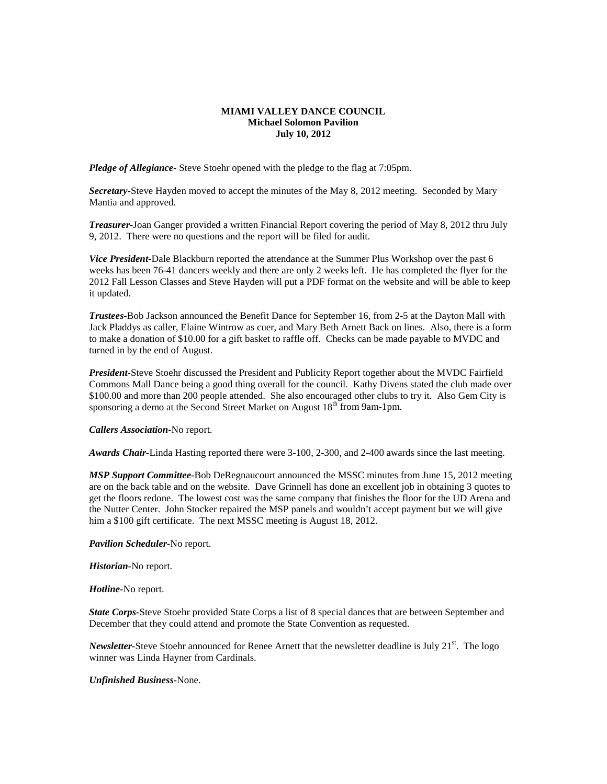## **MIAMI VALLEY DANCE COUNCIL Michael Solomon Pavilion July 10, 2012**

*Pledge of Allegiance-* Steve Stoehr opened with the pledge to the flag at 7:05pm.

*Secretary-*Steve Hayden moved to accept the minutes of the May 8, 2012 meeting. Seconded by Mary Mantia and approved.

*Treasurer-*Joan Ganger provided a written Financial Report covering the period of May 8, 2012 thru July 9, 2012. There were no questions and the report will be filed for audit.

*Vice President-*Dale Blackburn reported the attendance at the Summer Plus Workshop over the past 6 weeks has been 76-41 dancers weekly and there are only 2 weeks left. He has completed the flyer for the 2012 Fall Lesson Classes and Steve Hayden will put a PDF format on the website and will be able to keep it updated.

*Trustees-*Bob Jackson announced the Benefit Dance for September 16, from 2-5 at the Dayton Mall with Jack Pladdys as caller, Elaine Wintrow as cuer, and Mary Beth Arnett Back on lines. Also, there is a form to make a donation of \$10.00 for a gift basket to raffle off. Checks can be made payable to MVDC and turned in by the end of August.

*President-*Steve Stoehr discussed the President and Publicity Report together about the MVDC Fairfield Commons Mall Dance being a good thing overall for the council. Kathy Divens stated the club made over \$100.00 and more than 200 people attended. She also encouraged other clubs to try it. Also Gem City is sponsoring a demo at the Second Street Market on August  $18<sup>th</sup>$  from 9am-1pm.

*Callers Association-*No report.

*Awards Chair-*Linda Hasting reported there were 3-100, 2-300, and 2-400 awards since the last meeting.

*MSP Support Committee-*Bob DeRegnaucourt announced the MSSC minutes from June 15, 2012 meeting are on the back table and on the website. Dave Grinnell has done an excellent job in obtaining 3 quotes to get the floors redone. The lowest cost was the same company that finishes the floor for the UD Arena and the Nutter Center. John Stocker repaired the MSP panels and wouldn't accept payment but we will give him a \$100 gift certificate. The next MSSC meeting is August 18, 2012.

*Pavilion Scheduler-*No report.

*Historian-*No report.

*Hotline-*No report.

*State Corps-*Steve Stoehr provided State Corps a list of 8 special dances that are between September and December that they could attend and promote the State Convention as requested.

*Newsletter*-Steve Stoehr announced for Renee Arnett that the newsletter deadline is July 21<sup>st</sup>. The logo winner was Linda Hayner from Cardinals.

*Unfinished Business-*None.